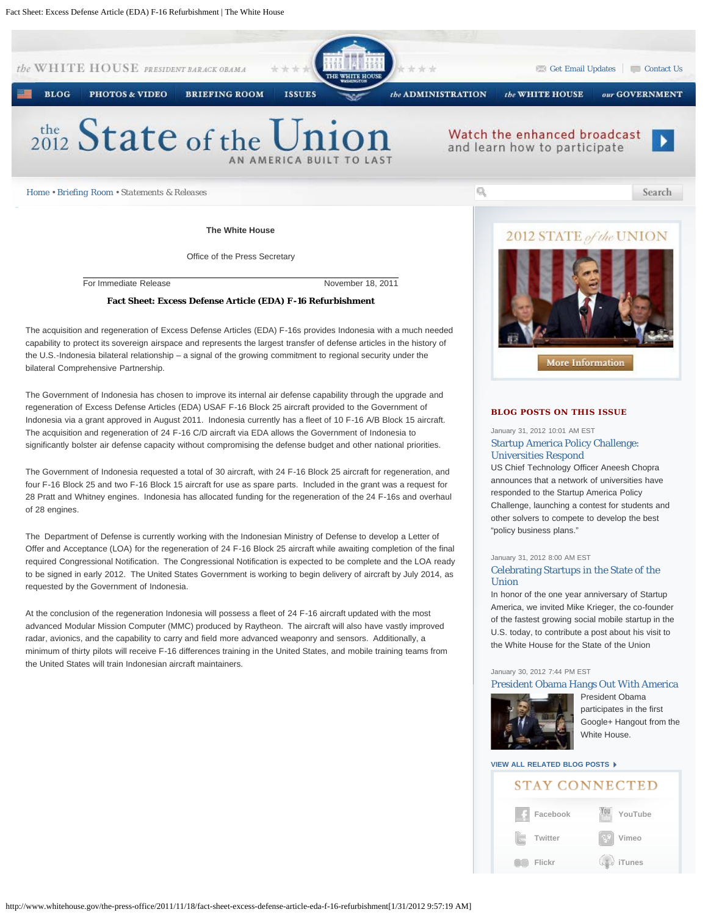

**The White House**

Office of the Press Secretary

For Immediate Release November 18, 2011

#### **Fact Sheet: Excess Defense Article (EDA) F-16 Refurbishment**

The acquisition and regeneration of Excess Defense Articles (EDA) F-16s provides Indonesia with a much needed capability to protect its sovereign airspace and represents the largest transfer of defense articles in the history of the U.S.-Indonesia bilateral relationship – a signal of the growing commitment to regional security under the bilateral Comprehensive Partnership.

The Government of Indonesia has chosen to improve its internal air defense capability through the upgrade and regeneration of Excess Defense Articles (EDA) USAF F-16 Block 25 aircraft provided to the Government of Indonesia via a grant approved in August 2011. Indonesia currently has a fleet of 10 F-16 A/B Block 15 aircraft. The acquisition and regeneration of 24 F-16 C/D aircraft via EDA allows the Government of Indonesia to significantly bolster air defense capacity without compromising the defense budget and other national priorities.

The Government of Indonesia requested a total of 30 aircraft, with 24 F-16 Block 25 aircraft for regeneration, and four F-16 Block 25 and two F-16 Block 15 aircraft for use as spare parts. Included in the grant was a request for 28 Pratt and Whitney engines. Indonesia has allocated funding for the regeneration of the 24 F-16s and overhaul of 28 engines.

The Department of Defense is currently working with the Indonesian Ministry of Defense to develop a Letter of Offer and Acceptance (LOA) for the regeneration of 24 F-16 Block 25 aircraft while awaiting completion of the final required Congressional Notification. The Congressional Notification is expected to be complete and the LOA ready to be signed in early 2012. The United States Government is working to begin delivery of aircraft by July 2014, as requested by the Government of Indonesia.

At the conclusion of the regeneration Indonesia will possess a fleet of 24 F-16 aircraft updated with the most advanced Modular Mission Computer (MMC) produced by Raytheon. The aircraft will also have vastly improved radar, avionics, and the capability to carry and field more advanced weaponry and sensors. Additionally, a minimum of thirty pilots will receive F-16 differences training in the United States, and mobile training teams from the United States will train Indonesian aircraft maintainers.

# 2012 STATE of the UNION



## **BLOG POSTS ON THIS ISSUE**

## January 31, 2012 10:01 AM EST [Startup America Policy Challenge:](http://www.whitehouse.gov/blog/2012/01/31/startup-america-policy-challenge-universities-respond) [Universities Respond](http://www.whitehouse.gov/blog/2012/01/31/startup-america-policy-challenge-universities-respond)

US Chief Technology Officer Aneesh Chopra announces that a network of universities have responded to the Startup America Policy Challenge, launching a contest for students and other solvers to compete to develop the best "policy business plans."

### January 31, 2012 8:00 AM EST

## [Celebrating Startups in the State of the](http://www.whitehouse.gov/blog/2012/01/31/celebrating-startups-state-union) [Union](http://www.whitehouse.gov/blog/2012/01/31/celebrating-startups-state-union)

In honor of the one year anniversary of Startup America, we invited Mike Krieger, the co-founder of the fastest growing social mobile startup in the U.S. today, to contribute a post about his visit to the White House for the State of the Union

### January 30, 2012 7:44 PM EST

### [President Obama Hangs Out With America](http://www.whitehouse.gov/blog/2012/01/30/president-obama-hangs-out-america)



[P](http://www.whitehouse.gov/blog/2012/01/30/president-obama-hangs-out-america)resident Obama participates in the first Google+ Hangout from the White House.

# **[VIEW ALL RELATED BLOG POSTS](http://www.whitehouse.gov/blog/issues/white-house)**

# **STAY CONNECTED**